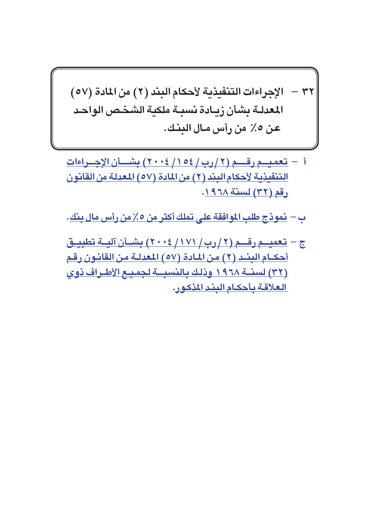## ٣٢ – الإجراءات التنفيذية لأحكام البند (٢) من المادة (٥٧) المعدلـة بشأن زبـادة نسبـة ملكنة الشخـص الواحـد عن ٥٪ من رأس مـال البنـك.

- أ تعميــم رقـــم (٢/ رب/ ١٥٤/ ٢٠٠٤) بشـــأن الإجـــراءات <u>التنفيذية لأحكام البند (٢) من المادة (٥٧) المعدلة من القانون</u> رقم (٣٢) لسنة ١٩٦٨.
- ب <u>نموذج طلب الموافقة على تملك أكثر من ٥٪ من رأس مال بنك</u>.
- ج تعميــم رقـــم (٢ / رب / ١٧١ / ٢٠٠٤) بشــأن آليــة تطبيــق أحكــام البِنْــد (٢) من المـادة (٥٧) المعدلـة من القانـون رقم (٣٢) لسنــة ١٩٦٨ وذلك بالنسبــة لجميـع الأطـراف ذوي العلاقة بأحكام البند المذكور.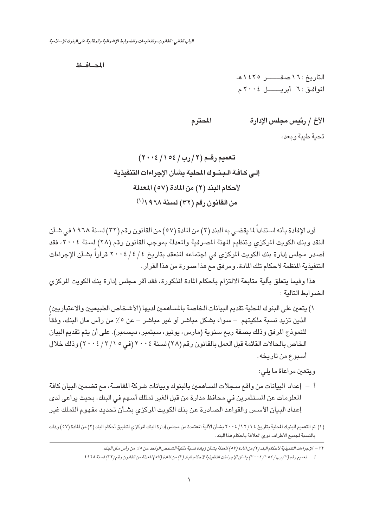<span id="page-1-0"></span>المصافظ

التاريخ: ١٦ صفــــــــــر ١٤٢٥هـ الموافق: ٦ أبر بــــــل ٢٠٠٤م

الأخ / رئيس مجلس الإدارة المحترم

تحبة طبية ويعد،

أود الإفادة بأنه استناداً لما يقضي به البند (٢) من المادة (٥٧ ) من القانون رقم (٢٢) لسنة ١٩٦٨ في شـأن النقد وبنك الكويت المركزي وتنظيم المهنة المصرفية والمعدلة بموجب القانون رقم (٢٨) لسنة ٢٠٠٤، فقد أصدر مجلس إدارة بنك الكويت المركزى في اجتماعه المنعقد بتاريخ ٤ / ٤ / ٢٠٠٤ قراراً بشأن الإجراءات التنفيذية المنظمة لأحكام تلك المادة. ومرفق مع هذا صورة من هذا القرار.

هذا وفيما يتعلق بآلية متابعة الالتزام بأحكام المادة المذكورة، فقد أقر مجلس إدارة بنك الكويت الركزي الضوابط التالية:

١) يتعين على البنوك المحلية تقديم البيانات الخاصة بالمساهمين لديها (الأشخاص الطبيعيين والاعتباريين) الذين تزيد نسبة ملكيتهم – سواء بشكل مباشر أو غير مباشر – عن ٥٪ من رأس مال البنك، وفقاً للنموذج المرفق وذلك بصفة ربع سنوية (مارس، يونيو، سبتمبر، ديسمبر). على أن يتم تقديم البيان الخاص بالحالات القائمة قبل العمل بالقانون رقم (٢٨) لسنة ٢٠٠٤ (في ٢/ ٣/١٧ / ٢٠٠٤) وذلك خلال أسبوع من تاريخه.

ويتعين مراعاة ما يلي:

- أ إعداد البيانات من واقع سـجلات المساهمين بالبنوك وبيانات شركة المقاصـة، مـع تضمـين البيان كافة المعلومات عن المستثمرين في محافظ مدارة من قبل الغير تمتلك أسـهم في البنك، بحيث يراعي لدى إعداد البيان الأسس والقواعد الصادرة عن بنك الكويت المركزى بشأن تحديد مفهوم التملك غير
- (١) تم التعميم للبنوك الحلية بتاريخ ٤ / ١٢ / ٢ · ٠ / بشأن الآلية المعتمدة من مجلس إدارة البنك الركزي لتطبيق أحكام البند (٢) من المادة (٥٧) وذلك بالنسبة لجميع الأطراف ذوى العلاقة بأحكام هذا البند.

٢٢ – الإجراءات التنفيذية لأحكام البند (٢) من المادة (٥٧) المعدلة بشـأن زيادة نسـبة ملكية الشـخص الواحد عن ٥٪ من رأس مال البنك.

ا – تعميم رقم (٢/ رب/ ٥٤ / / ٢٠٠٤) بشأن الإجراءات التنفيذية لأحكام البند (٢) من المادة (٥٧) المعدلة من القانون رقم (٢٢) لسنة ١٩٦٨.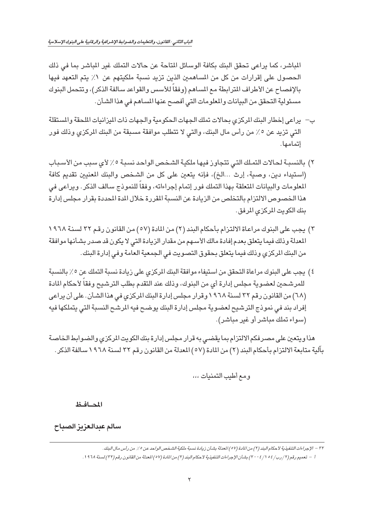الماشر، كما يراعى تحقق البنك بكافة الوسائل المتاحة عن حالات التملك غير الماشر بما في ذلك الحصول على إقرارات من كل من المساهمين الذين تزيد نسبة ملكيتهم عن ١٪ يتم التعهد فيها بالإفصاح عن الأطراف المترابطة مع المساهم (وفقا للأسس والقواعد سالفة الذكر)، وتتحمل البنوك مسئولية التحقق من البيانات والمعلومات التي أفصح عنها المساهم في هذا الشأن.

- ب يراعى إخطار البنك المركزي بحالات تملك الجهات الحكومية والجهات ذات الميزانيات الملحقة والمستقلة التي تزيد عن ٥٪ من رأس مال البنك، والتي لا تتطلب موافقة مسبقة من البنك المركزي وذلك فور إتمامها.
- ٢) بالنسبـة لحـالات التمـلك التـى تتجاوز فيهـا ملكيـة الشـخـص الواحد نسبـة ٥٪ لأي سبب من الأسـبـاب (استيداء دين، وصية، إرث ...الخ)، فإنه يتعين على كل من الشخص والبنك المعنيين تقديم كافة المعلومات والبيانات المتعلقة بهذا التملك فور إتمام إجراءاته، وفقاً للنموذج سالف الذكر. ويراعي في هذا الخصوص الالتزام بالتخلص من الزيادة عن النسبة المقررة خلال المدة المحددة بقرار مجلس إدارة بنك الكويت المركزي المرفق.
- ٢) يجب على البنوك مراعاة الالتزام بأحكام البند (٢) من المادة (٥٧) من القانون رقم ٣٢ لسنة ١٩٦٨ المعدلة وذلك فيما يتعلق بعدم إفادة مالك الأسهم من مقدار الزيادة التي لا يكون قد صدر بشأنها موافقة من البنك المركزي وذلك فيما يتعلق بحقوق التصويت في الجمعية العامة وفي إدارة البنك.
- ٤) يجب على البنوك مراعاة التحقق من استيفاء موافقة البنك المركزي على زيادة نسبة التملك عن ٥٪ بالنسبة للمرشحين لعضوية مجلس إدارة أي من البنوك، وذلك عند التقدم بطلب الترشيح وفقاً لأحكام المادة (٦٨) من القانون رقم ٣٢ لسنة ١٩٦٨ وقرار مجلس إدارة البنك المركزي في هذا الشأن . على أن يراعي إفراد بند في نموذج الترشيح لعضوية مجلس إدارة البنك يوضح فيه المرشح النسبة التي يتملكها فيه (سواء تملك مباشر أو غير مباشر).

هذا ويتعين على مصر فكم الالتزام بما يقضى به قرار مجلس إدارة بنك الكويت المركزي والضوابط الخاصة بِالِّية متابعة الالتزام بِأحكام البِند (٢) من المادة (٥٧) المعدلة من القانون رقم ٢٢ لسنة ١٩٦٨ سالفة الذكر .

ومع أطيب التمنيات ،،،

المحافظ

سالم عبدالعزيز الصباح

٢٢ – الإجراءات التنفيذية لأحكام البند (٢) من المادة (٥٧) العدلة بشأن زيادة نسبة ملكية الشخص الواحد عن ٥٪ من رأس مال البنك. ا – تعميم رقم (٢/ رب/ ٥٤ / /٢٠٠٤) بشأن الإجراءات التنفيذية لأحكام البند (٢) من المادة (٥٧) المعدلة من القانون رقم (٢٢) لسنة ١٩٦٨.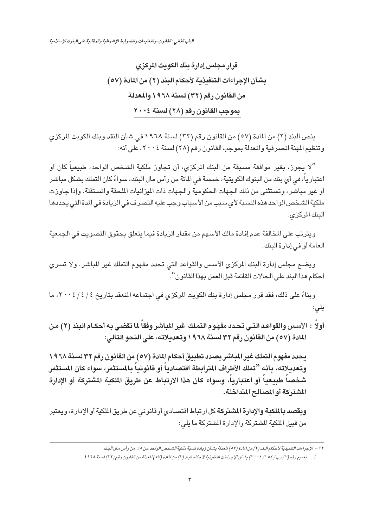قرار مجلس إدارة بنك الكويت المركزى بشأن الإجراءات التنفيذية لأحكام البند (٢) من المادة (٥٧) من القانون رقم (٣٢) لسنة ١٩٦٨ والمعدلة بموجب القانون رقم (٢٨) لسنة ٢٠٠٤

ينص البند (٢) من المادة (٥٧) من القانون رقم (٣٢) لسنة ١٩٦٨ في شـأن النقد وبنك الكويت المركزي وتنظيم المهنة المصرفية والمعدلة بموجب القانون رقم (٢٨) لسنة ٢٠٠٤، على أنه:

"لا يجوز، بغير موافقة مسبقة من البنك المركزي، أن تجاوز ملكية الشخص الواحد، طبيعيا كان أو اعتبارياً، في أي بنك من البنوك الكويتية، خمسة في المائة من رأس مال البنك، سواءً كان التملك بشكل مباشر أو غير مباشر، وتستثنى من ذلك الجهات الحكومية والجهات ذات الميزانيات الملحقة والمستقلة. وإذا جاوزت ملكية الشخص الواحد هذه النسبة لأي سبب من الأسباب وجب عليه التصرف في الزيادة في الدة التي يحددها البنك المركزي.

ويترتب على المخالفة عدم إفادة مالك الأسـهم من مقدار الزيادة فيما يتعلق بحقوق التصـويت في الـجمعية العامة أو في إدارة البنك.

ويضـع مجلس إدارة البنك المركزي الأسس والقواعد التي تحدد مفهوم التملك غير المباشر. ولا تسرى أحكام هذا البند على الحالات القائمة قبل العمل بهذا القانون " .

وبناءً على ذلك، فقد قرر مجلس إدارة بنك الكويت المركزي في اجتماعه المنعقد بتاريخ ٤ / ٤ / ٢٠٠٤، ما یلی:

أولاً : الأسس والقواعد التـي تحـدد مفهـوم التمـلك غير المباشر وفقاً لما تقضـي بـه أحكـام البند (٢) مـن المادة (٥٧) من القانون رقم ٣٢ لسنة ١٩٦٨ وتعديلاته، على النحو التالي:

يحدد مفهوم التملك غير المباشر بصدد تطبيق أحكام المادة (٥٧) من القانون رقم ٣٢ لسنة ٦٨ ١ وتعديلاته، بأنه "تملك الأطراف المترابطة اقتصادياً أو قانونياً بالمستثمر، سواء كان المستثمر شخصاً طبيعياً أو اعتبارياً، وسواء كان هذا الارتباط عن طريق الملكية المشتركة أو الإدارة المشتركة أو المصالح المتداخلة.

ويقصد بالملكية والإدارة المشتركة كل ارتباط اقتصادي أوقانوني عن طريق الملكية أو الإدارة، ويعتبر من قبيل الملكية المشتركة والإدارة المشتركة ما يلي:

٣٢ – الإجراءات التنفيذية لأحكام البند (٢) من المادة (٥٧) العدلة بشـأن زيادة نسـبة ملكية الشـخص الواحد عن ٥٪ من رأس مال البنك .

ا – تعميم رقم (٢/ رب/ ٥٤ / / ٢٠٠٤) بشأن الإجراءات التنفيذية لأحكام البند (٢) من المادة (٥٧) المعدلة من القانون رقم (٢٢) لسنة ١٩٦٨.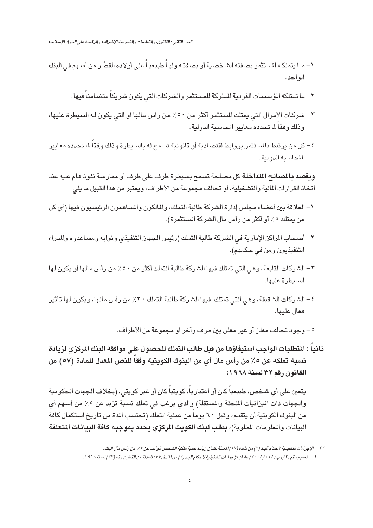- ١– مـا يتملكـه المستثمر بصفته الشـخصية أو بصفتـه وليـاً طبيعيـاً على أولاده القصَّر من أسـهم في البنك الواحد.
	- ٢– ما تمتلكه المؤسسات الفردية الملوكة للمستثمر والشركات التى يكون شريكاً متضامناً فيها.
- ٣– شركات الأموال التي يمتلك المستثمر أكثر من ٥٠٪ من رأس مالها أو التي يكون له السيطرة عليها، و ذلك وفقاً لما تحدده معايير المحاسبة الدولية.
- ٤– كل من يرتبط بالمستثمر بروابط اقتصادية أو قانونية تسمح له بالسيطرة وذلك وفقا لما تحدده معايير المحاسية الدولية.

**ويقصد بالمصالح المتداخلة** كل مصلحة تسمح بسيطرة طرف على طرف أو ممارسة نفوذ هام عليه عند اتخاذ القرارات المالية والتشغيلية، أو تحالف مجموعة من الأطراف، ويعتبر من هذا القبيل ما يلي:

- ١– العلاقة بين أعضـاء مجلس إدارة الشركة طالبة التملك، والمالكون والمساهمون الرئيسيون فيها (أي كل من يمتلك ٥٪ أو أكثر من رأس مال الشركة المستثمرة).
- ٢– أصحاب المراكز الإدارية في الشركة طالبة التملك (رئيس الجهاز التنفيذي ونوابه ومساعدوه والمدراء التنفيذيون ومن في حكمهم).
- ٣ الشركات التابعة، وهي التي تمتلك فيها الشركة طالبة التملك أكثر من ٥٠٪ من رأس مالها أو يكون لها السيطرة عليها.
- ٤ الشركات الشقيقة، وهي التي تمتلك فيها الشركة طالبة التملك ٢٠٪ من رأس مالها، ويكون لها تأثير فعال عليها.

٥ – وجود تحالف معلن أو غير معلن بين طرف وآخر أو مجموعة من الأطراف.

ثانياً : المتطلبات الواجب استيفاؤها من قبل طالب التملك للحصول على موافقة البنك المركزى لزيادة نسبة تملكه عن ٥٪ من رأس مال أي من البنوك الكويتية وفقاً للنص المعدل للمادة (٥٧) من القانون رقم ٣٢ لسنة ١٩٦٨:

يتعين على أي شـخص، طبيعياً كان أو اعتبارياً، كويتياً كان أو غير كويتي، (بـخلاف الـجهات الـحكومية والجهات ذات الميزانيات الملحقة والمستقلة) والذي يرغب في تملك نسبة تزيد عن ٥٪ من أسهم أي من البنوك الكويتية أن يتقدم، وقبل ٦٠ يوماً من عملية التملك (تحتسب المدة من تاريخ استكمال كافة البيانات والمعلومات المطلوبة)، بطلب لبنك الكويت المركزي يحدد بموجبه كافة البيانات المتعلقة

٣٢ – الإجراءات التنفيذية لأحكام البند (٢) من المادة (٥٧) المعدلة بشـأن زيادة نسـبة ملكية الشـخص الواحد عن ٥٪ من رأس مـال البنك.

أ – تعميم رقم (٢/ رب/ ٥٤ // ٢٠٠٤) بشأن الإجراءات التنفيذية لأحكام البند (٢) من المادة (٥٧) المعدلة من القانون رقم (٢٢) لسنة ١٩٦٨.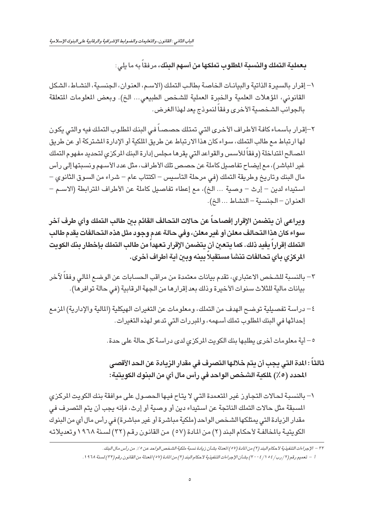بعملية التملك والنسبة المطلوب تملكها من أسهم البنك، مرفقاً به ما يلي:

- ١- إقرار بالسيرة الذاتية والبيانات الخاصة بطالب التملك (الاسم، العنوان، الجنسية، النشاط، الشكل القانوني، المؤهلات العلمية والخبرة العملية للشخص الطبيعي... الخ). وبعض المعلومات المتعلقة بالجوانب الشخصية الأخرى وفقاً لنموذج يعد لهذا الغرض.
- ٢–إقرار بأسماء كافة الأطراف الأخرى التى تمتلك حصصاً فى البنك المطلوب التملك فيه والتى يكون لها ارتباط مع طالب التملك، سواء كان هذا الارتباط عن طريق الملكية أو الإدارة المشتركة أو عن طريق المصالح المتداخلة (وفقاً للأسس والقواعد التى يقرها مجلس إدارة البنك المركزى لتحديد مفهوم التملك غير المباشر)، مع إيضاح تفاصيل كاملة عن حصص تلك الأطراف، مثل عدد الأسهم ونسبتها إلى رأس مال البنك وتاريخ وطريقة التملك (في مرحلة التأسيس – اكتتاب عام – شراء من السوق الثانوى – استيداء لدين – إرث – وصية ... الخ)، مع إعطاء تفاصيل كاملة عن الأطراف المترابطة (الاسـم – العنوان - الجنسية - النشاط ... الخ).

وبراعي أن يتضمن الإقرار إفصاحاً عن حالات التحالف القائم بين طالب التملك وأي طرف آخر سواء كان هذا التحالف معلن أو غير معلن، وفي حالة عدم وجود مثل هذه التحالفات يقدم طالب التملك إقراراً يفيد ذلك. كما يتعين أن يتضمن الإقرار تعهداً من طالب التملك بإخطار بنك الكويت المركزي مأي تحالفات تنشأ مستقبلاً ببنه وبين أبة أطراف أخرى.

- ٢ بالنسبة للشـخص الاعتبارى، تقدم بيانات معتمدة من مراقب الـحسـابات عن الوضـع المالي وفقاً لآخر بيانات مالية للثلاث سنوات الأخيرة وذلك بعد إقرارها من الجهة الرقابية (في حالة توافرها).
- ٤ دراسة تفصيلية توضح الهدف من التملك، ومعلومات عن التغيرات الهيكلية (المالية والإدارية) المزمع إحداثها في البنك المطلوب تملك أسهمه، والمبررات التي تدعو لهذه التغيرات.

٥ – أية معلومات أخرى يطلبها بنك الكويت المركزى لدى دراسة كل حالة على حدة.

- ثالثاً : المدة التي يجب أن يتم خلالها التصرف في مقدار الزيادة عن الحد الأقصى المحدد (٥٪) لملكنة الشخص الواحد في رأس مال أي من البنوك الكوبتية:
- ١- بالنسبة لحالات التجاوز غير المتعمدة التي لا يتاح فيها الحصول على موافقة بنك الكويت المركزى المسبقة مثل حالات التملك الناتجة عن استيداء دين أو وصية أو إرث، فإنه يجب أن يتم التصرف في مقدار الزيادة التي يمتلكها الشخص الواحد (ملكية مباشرة أو غير مباشرة) في رأس مال أي من البنوك الكويتية بالمخالفة لأحكام البند (٢) من المادة (٥٧) من القانون رقم (٣٢) لسنة ١٩٦٨ وتعديلاته

٣٢ – الإجراءات التنفيذية لأ حكام البند (٢) من المادة (٥٧) المعدلة بشـأن زيادة نسـبة ملكية الشـخص الواحد عن ٥٪ من رأس مال البنك . ا = تعميم رقم (٢/ رب/٥٤ / ٢٠٠٤) بشأن الإجراءات التنفيذية لأحكام البند (٢) من المادة (٥٧) المعدلة من القانون رقم (٢٢) لسنة ١٩٦٨.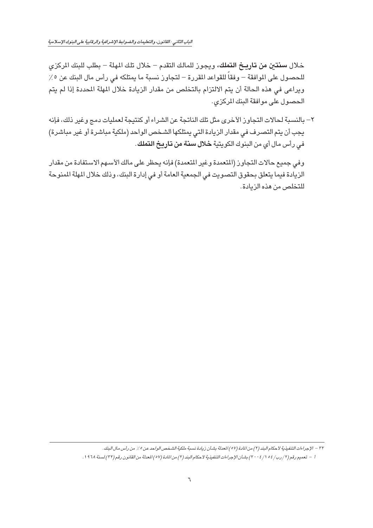الباب الثاني : القانون، والتعليمات والضوابط الإشرافية والرقابية على البنوك الإسلامية

خلال **سنتين من تاريخ التملك**، ويجوز للمالك التقدم – خلال تلك المهلة – بطلب للبنك الركزى للحصول على الموافقة – وفقاً للقواعد المقررة – لتجاوز نسبة ما يمتلكه في رأس مال البنك عن ٥٪ ويراعي في هذه الحالة أن يتم الالتزام بالتخلص من مقدار الزيادة خلال المهلة المحددة إذا لم يتم الحصول على موافقة البنك المركزي.

٢ – بالنسبة لحالات التجاوز الأخرى مثل تلك الناتجة عن الشراء أو كنتيجة لعمليات دمج وغير ذلك، فإنه يجب أن يتم التصرف في مقدار الزيادة التي يمتلكها الشخص الواحد (ملكية مباشرة أو غير مباشرة) في رأس مال أي من البنوك الكويتية **خلال سنة من تاريخ التملك** .

وفي جميع حالات التجاوز (المتعمدة وغير المتعمدة) فإنه يحظر على مالك الأسبهم الاستفادة من مقدار الزيادة فيما يتعلق بحقوق التصويت في الجمعية العامة أو في إدارة البنك، وذلك خلال المهلة المنوحة للتخلص من هذه الزيادة.

٣٢ – الإجراءات التنفيذية لأحكام البند (٢) من المادة (٥٧) المعدلة بشـأن زيادة نسـبة ملكية الشـخص الواحد عن ٥٪ من رأس مـال البنك. أ – تعميم رقم (٢/ رب/٥٤ // ٢٠٠٤) بشأن الإجراءات التنفيذية لأحكام البند (٢) من المادة (٥٧) المعدلة من القانون رقم (٢٢) لسنة ١٩٦٨.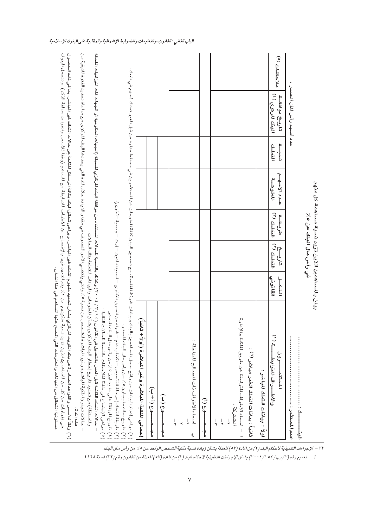٣٢ – الإجراءات التنفيذية لأحكام البند (٢) من المادة (٥٧) المعدلة بشـأن زيادة نسـبة ملكية الشـخص الواحد عن ٥٪ من رأس مال البنك.

اً – تعميم رقم (٢ / رب/ ٥٤ / ٢٠٠٤) بشأن الإجراءات التنفيذية لأحكام البند (٢) من المادة (٥٧) المعدلة من القانون رقم (٣٢) لسنة ١٩٦٨.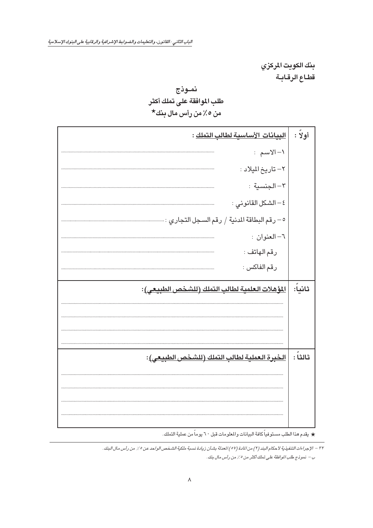<span id="page-8-0"></span>الباب الثاني : القانون، والتعليمات والضوابط الإشرافية والرقابية على البنوك الإسلامية

بنك الكويت المركزي قطاع الرقابة

## نموذج طلب الموافقة على تملك أكثر من ٥٪ من رأس مال بنك\*

| البيانات الأساسية لطالب التملك :                                                 | أولاً :  |
|----------------------------------------------------------------------------------|----------|
| ١- الاسم:                                                                        |          |
| ٢- تاريخ الميلاد :                                                               |          |
| ٣- الجنسية :                                                                     |          |
| ٤ – الشكل القانوني :                                                             |          |
| ٥ – رقم البطاقة المدنية / رقم السـجل التجاري : ……………………………………………………………………………………… |          |
| ٦- العنوان :                                                                     |          |
| رقم الهاتف :                                                                     |          |
| رقم الفاكس :                                                                     |          |
|                                                                                  |          |
| المؤهلات العلمية لطالب التملك (للشخص الطبيعي):                                   | ثانياً:  |
|                                                                                  |          |
|                                                                                  |          |
|                                                                                  |          |
| الخبرة العملية لطالب التملك (للشخص الطبيعي):                                     | ثالثاً : |
|                                                                                  |          |
|                                                                                  |          |
|                                                                                  |          |

★ يقدم هذا الطلب مستوفياً كافة البيانات والمعلومات قبل ٦٠ يوماً من عملية التملك.

٣٢ – الإجراءات التنفيذية لأحكام البند (٢) من المادة (٥٧) المعدلة بشـأن زيادة نسـبة ملكية الشـخص الواحد عن ٥٪ من رأس مال البنك. ب – نموذج طلب الموافقة على تملك أكثر من ٥ ٪ من رأس مال بنك .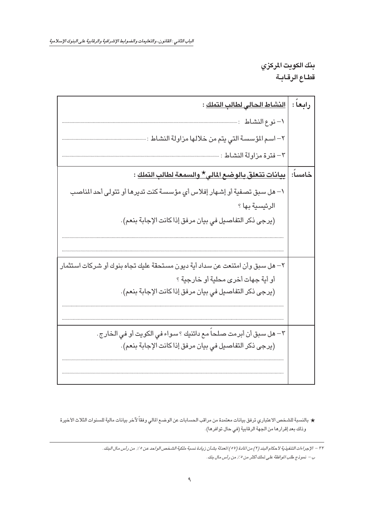رابعاً : |ا<u>لنشاط الحالي لطالب التملك</u> : ١– نو ع النشاط : ………………………………………………… ٢– اسـم المؤسسـة التي يتم من خلالها مزاولة النشـاط : ………………….. خامساً: | <u>بيانات تتعلق بالوضع المالي\* والسمعة لطالب التملك</u> : ١– هل سبق تصفية أو إشهار إفلاس أي مؤسسة كنت تديرها أو تتولى أحد المناصب الرئيسية بها ؟ (يرجى ذكر التفاصيل في بيان مرفق إذا كانت الإجابة بنعم). ٢– هل سبق وأن امتنعت عن سداد أية ديون مستحقة عليك تجاه بنوك أو شركات استثمار أو أية جهات أخرى محلية أو خارجية ؟ (يرجى ذكر التفاصيل في بيان مرفق إذا كانت الإجابة بنعم). ٣– هل سبق أن أبرمت صلحاً مع دائنيك ؟ سواء في الكويت أو في الخارج . (يرجى ذكر التفاصيل في بيان مرفق إذاكانت الإجابة بنعم).

★ بالنسبة للشخص الاعتباري ترفق بيانات معتمدة من مراقب الحسابات عن الوضع المالي وفقاً لآخر بيانات مالية للسنوات الثلاث الأخيرة وذلك بعد إقرارها من الجهة الرقابية (في حال توافرها).

٣٢ – الإجراءات التنفيذية لأحكام البند (٢) من المادة (٥٧) المعدلة بشأن زيادة نسبة ملكية الشخص الواحد عن ٥٪ من رأس مال البنك. ب – نموذج طلب الموافقة على تملك أكثر من ٥٪ من رأس مال بنك.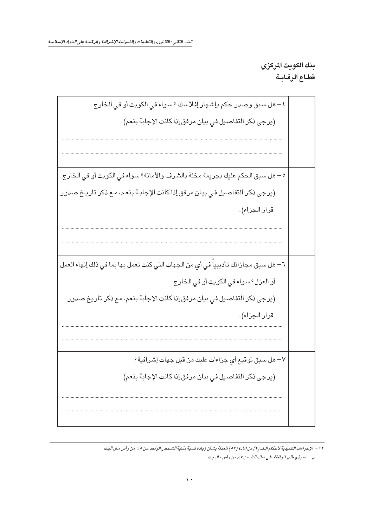٤ – هل سبق وصدر حكم بإشـهار إفلاسك ؟ سـواء في الكويت أو في الـخارج . (يرجى ذكر التفاصيل في بيان مرفق إذا كانت الإجابة بنعم). ٥ – هل سبق الحكم عليك بجريمة مخلة بالشرف والأمانة؟ سواء في الكويت أو في الخارج. (يرجى ذكر التفاصيل في بيان مرفق إذا كانت الإجابة بنعم، مع ذكر تاريخ صدور قرار الجزاء). ٦– هل سـبق مـجازاتك تأديبياً في أي من الـجـهات التي كنت تعمل بـها بما فـي ذلك إنـهاء الـعمل أو العزل؟ سواء في الكويت أو في الخارج. (يرجى ذكر التفاصيل في بيان مرفق إذاكانت الإجابة بنعم، مع ذكر تاريخ صدور قرار الجزاء). √– هل سبق توقيع أ*ي* جزاءات عليك من قبل جهات إشرافية؟ (يرجى ذكر التفاصيل في بيان مرفق إذا كانت الإجابة بنعم).

٣٢ – الإجراءات التنفيذية لأحكام البند (٢) من المادة (٥٧) المعدلة بشـأن زيادة نسـبة ملكية الشـخص الواحد عن ٥٪ من رأس مال البنك. ب – نموذج طلب الموافقة على تملك أكثر من 2٪ من رأس مال بنك.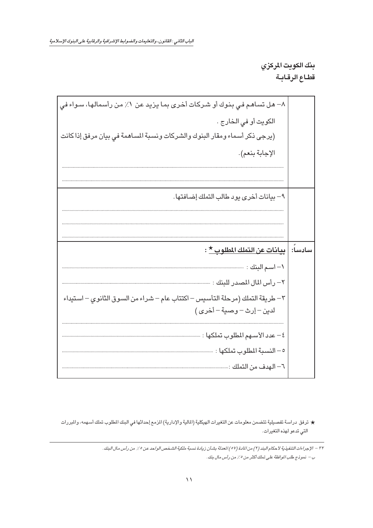| ٨– هل تساهم في بنوك أو شـركات أخرى بما يزيد عن ١٪ من رأسمالها، سـواء فى        |
|--------------------------------------------------------------------------------|
| الكويت أو في الخارج .                                                          |
| (يرجى ذكر أسماء ومقار البنوك والشركات ونسبة المساهمة في بيان مرفق إذا كانت     |
| الإجابة بنعم).                                                                 |
|                                                                                |
|                                                                                |
| ٩- بيانات أخرى يود طالب التملك إضافتها.                                        |
|                                                                                |
|                                                                                |
|                                                                                |
|                                                                                |
| سادساً:   بي <u>انات عن التملك المطلوب *</u> :                                 |
| ١– اسم البنك : ………                                                             |
| ٢– رأس المال المصدر للبنك : ………….                                              |
| ٣ – طريقة التملك (مرحلة التأسيس – اكتتاب عام – شراء من السوق الثانوي – استيداء |
| لدين –إرث-وصية –أخرى)                                                          |
|                                                                                |
| ٤ – عدد الأســهم المطلوب تملكها :                                              |
| ٥ – النسبة المطلوب تملكها :                                                    |
|                                                                                |

★ ترفق دراسة تفصيلية تتضمن معلومات عن التغيرات الهيكلية (المالية والإدارية) المزمع إحداثها في البنك المطلوب تملك أسهمه، والمبررات التي تدعو لهذه التغيرات.

٣٢ – الإجراءات التنفيذية لأحكام البند (٢) من المادة (٥٧) المعدلة بشـأن زيادة نسـبة ملكية الشـخص الواحد عن ٥٪ من رأس مـال البنك. ب – نموذج طلب الموافقة على تملك أكثر من ٥ ٪ من رأس مال بنك .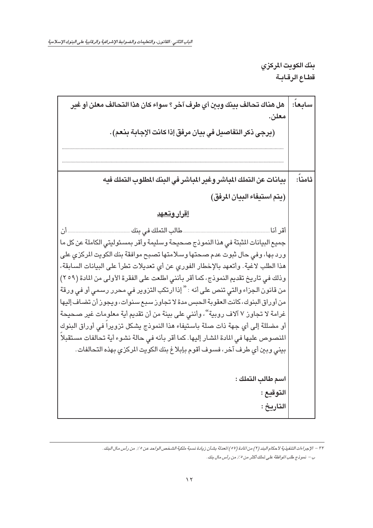| هل هناك تحالف بينك وبين أي طرف آخر ؟ سواء كان هذا التحالف معلن أو غير<br>معلن.                                                                                                                                                                                                                                                                                                                                                                                                                                                                                                                                                                                                                                                                                                                                                                                                                      | سابعا:  |
|-----------------------------------------------------------------------------------------------------------------------------------------------------------------------------------------------------------------------------------------------------------------------------------------------------------------------------------------------------------------------------------------------------------------------------------------------------------------------------------------------------------------------------------------------------------------------------------------------------------------------------------------------------------------------------------------------------------------------------------------------------------------------------------------------------------------------------------------------------------------------------------------------------|---------|
| (يرجى ذكر التفاصيل في بيان مرفق إذا كانت الإجابة بنعم) .                                                                                                                                                                                                                                                                                                                                                                                                                                                                                                                                                                                                                                                                                                                                                                                                                                            |         |
|                                                                                                                                                                                                                                                                                                                                                                                                                                                                                                                                                                                                                                                                                                                                                                                                                                                                                                     |         |
| بيانات عن التملك المباشر وغير المباشر في البنك المطلوب التملك فيه                                                                                                                                                                                                                                                                                                                                                                                                                                                                                                                                                                                                                                                                                                                                                                                                                                   | ثامناً: |
| (يتم استيفاء البيان المرفق)                                                                                                                                                                                                                                                                                                                                                                                                                                                                                                                                                                                                                                                                                                                                                                                                                                                                         |         |
| <u>إقرار وتعهد</u>                                                                                                                                                                                                                                                                                                                                                                                                                                                                                                                                                                                                                                                                                                                                                                                                                                                                                  |         |
| طالب التملك في بنك<br>. أن<br>أقر أنا<br>جميع البيانات المثبتة في هذا النموذج صحيحة وسليمة وأقر بمسئوليتي الكاملة عن كل ما<br>ورد بها، وفي حال ثبوت عدم صـحتها وسـلامتها تصـبح موافقة بنك الكويت المركزي على<br>هذا الطلب لاغية. وأتعهد بالإخطار الفوري عن أي تعديلات تطرأ على البيانات السابقة،<br>وذلك في تاريخ تقديم النموذج، كما أقر بأنني اطلعت على الفقرة الأولى من المادة (٢٥٩)<br>من قانون الجزاء والتي تنص على أنه : " إذا ارتكب التزوير في محرر رسمي أو في ورقة<br>من أوراق البنوك، كانت العقوبة الحبس مدة لا تجاوز سبع سنوات، ويجوز أن تضاف إليها<br>غرامة لا تجاوز ٧ آلاف روبية "، وأنني على بينة من أن تقديم أية معلومات غير صحيحة<br>أو مضللة إلى أي جهة ذات صلة باستيفاء هذا النموذج يشكل تزويرا في أوراق البنوك<br>المنصوص عليها في المادة المشار إليها. كما أقر بأنه في حالة نشوء أية تحالفات مستقبلا<br>بيني وبين أي طرف آخر، فسوف أقوم بإبلاغ بنك الكويت المركزي بهذه التحالفات. |         |
| اسم طالب التملك :<br>التوقيع :<br>التاريخ :                                                                                                                                                                                                                                                                                                                                                                                                                                                                                                                                                                                                                                                                                                                                                                                                                                                         |         |

٣٢ – الإجراءات التنفيذية لأحكام البند (٢) من المادة (٥٧) المعدلة بشـأن زيادة نسـبة ملكية الشـخص الواحد عن ٥٪ من رأس مال البنك. ب – نموذج طلب الموافقة على تملك أكثر من ٥ ٪ من رأس مال بنك .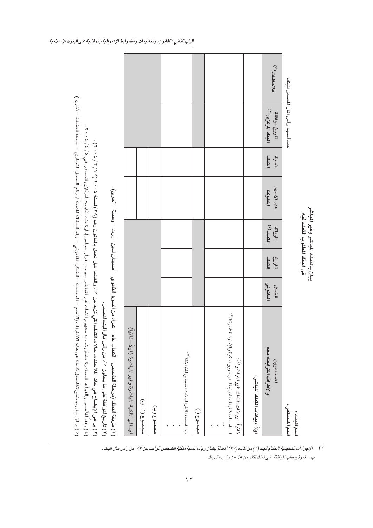| (° ) يرفق بيان يوضح تفاصيل كاملة عن مذه الاأطراف (الاسم – الجنسية – الشكل القانوني – رقم البطاقة الدنية / رقم السجل التجاري – طبيعة النشاط – أخرى).<br>(٤ ) وفقا للأسس والقواعد الصادرة بشأن تحديد مفهوم التملك غير الباشر بموجب قرار مجلس إدارة بنك الكويت المكري الصادر في ٤ / ٤ / ٢٠٠ .<br>(٣) يداعى الإيضاح في خانة الملاحظات حالات التملك التي تزيد عن ٢٥٪ والقائمة قبل العمل بالقانون رقم (٢٧/ ٥٧/ ٢٧/ ٢٧) .<br>(٢) تاريخ الوافقة على ما يجاوز ٢/ من رأس مال البنك المصدر.<br>$\left(\frac{\ell}{\ell}\right)$ طريقة التملك (مرحلة التأسيس – اكتتاب عام |                   |                      |                                                                                                                                                                                                                                                                                                                                                                                         | – شراء من السوق الثَّانوي – استيّان لدين – إرث – وصية – أخرى). |                |                                   |             |
|---------------------------------------------------------------------------------------------------------------------------------------------------------------------------------------------------------------------------------------------------------------------------------------------------------------------------------------------------------------------------------------------------------------------------------------------------------------------------------------------------------------------------------------------------------------|-------------------|----------------------|-----------------------------------------------------------------------------------------------------------------------------------------------------------------------------------------------------------------------------------------------------------------------------------------------------------------------------------------------------------------------------------------|----------------------------------------------------------------|----------------|-----------------------------------|-------------|
| إجمالي الملكية المباشرة وغير المباشرة ( أولاً + ثانياً )                                                                                                                                                                                                                                                                                                                                                                                                                                                                                                      |                   |                      |                                                                                                                                                                                                                                                                                                                                                                                         |                                                                |                |                                   |             |
| $rac{1}{1}$<br>مجموع (ب)                                                                                                                                                                                                                                                                                                                                                                                                                                                                                                                                      |                   |                      |                                                                                                                                                                                                                                                                                                                                                                                         |                                                                |                |                                   |             |
|                                                                                                                                                                                                                                                                                                                                                                                                                                                                                                                                                               |                   |                      |                                                                                                                                                                                                                                                                                                                                                                                         |                                                                |                |                                   |             |
| ب-أسماء الأطراف ذات المسالح المتداخلة(°):                                                                                                                                                                                                                                                                                                                                                                                                                                                                                                                     |                   |                      |                                                                                                                                                                                                                                                                                                                                                                                         |                                                                |                |                                   |             |
| مجموع (۱)                                                                                                                                                                                                                                                                                                                                                                                                                                                                                                                                                     |                   |                      |                                                                                                                                                                                                                                                                                                                                                                                         |                                                                |                |                                   |             |
| أ – أسماء الأطراف المتراجلة عن طريق الملكية والإدارة المشتركة(°):<br>ثانياً ؛ بيانات التملك غير الباشر (٤):<br>$\frac{1}{\lambda}$<br>$\frac{1}{4}$                                                                                                                                                                                                                                                                                                                                                                                                           |                   |                      |                                                                                                                                                                                                                                                                                                                                                                                         |                                                                |                |                                   |             |
| أولاً : بيانات التمك الباشر :                                                                                                                                                                                                                                                                                                                                                                                                                                                                                                                                 |                   |                      |                                                                                                                                                                                                                                                                                                                                                                                         |                                                                |                |                                   |             |
| والأطراف المترابطة معه<br>المستثمرون                                                                                                                                                                                                                                                                                                                                                                                                                                                                                                                          | القانوني<br>الشكل | تارين<br>ن<br>التملك | $\overline{112}$ $\overline{11}$ $\overline{1}$ $\overline{1}$ $\overline{1}$ $\overline{1}$ $\overline{1}$ $\overline{1}$ $\overline{1}$ $\overline{1}$ $\overline{1}$ $\overline{1}$ $\overline{1}$ $\overline{1}$ $\overline{1}$ $\overline{1}$ $\overline{1}$ $\overline{1}$ $\overline{1}$ $\overline{1}$ $\overline{1}$ $\overline{1}$ $\overline{1}$ $\overline{1}$ $\$<br>طريقة | عدد الأسهم<br>الملوكة                                          | التملك<br>نسية | البنك المركزي(٢)<br>تاريخ موافقة  | ملاحظات (٣) |
| اسم المستثمى :<br>اسم البنك :                                                                                                                                                                                                                                                                                                                                                                                                                                                                                                                                 |                   |                      |                                                                                                                                                                                                                                                                                                                                                                                         |                                                                |                | عدد أسهم رأس المال المصدر للبنك : |             |
|                                                                                                                                                                                                                                                                                                                                                                                                                                                                                                                                                               |                   |                      | بيان بالتملك المباشر وغير المباشر<br>في البنك المطلوب التملك فيه                                                                                                                                                                                                                                                                                                                        |                                                                |                |                                   |             |

٣٢ – الإجراءات التنفيذية لأ حكام البند (٢) من المادة (٥٧) المعدلة بشـأن زيادة نسـبة ملكية الشـخص الواحد عن ٥٪ من رأس مـال البنك .

ب – نموذج طلب الموافقة على تملك أكثر من ٥ ٪ من رأس مال بنك .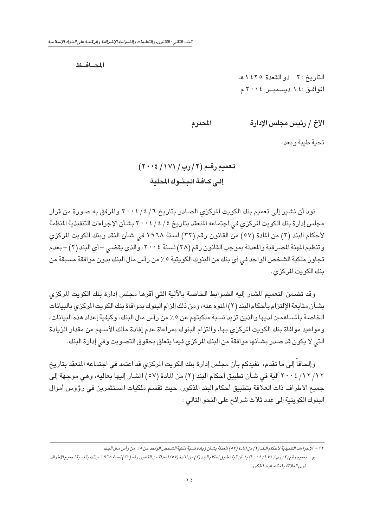<span id="page-14-0"></span>المصافظ

التاريخ : ٢ ذو القعدة ١٤٢٥ هـ الموافق:٤ ديسمبر ٢٠٠٤م

الأخ / رئيس مجلس الإدارة المحترم

تحية طيبة وبعد،

## تعميم رقم (٢ / رب / ١٧١ / ٢٠٠٤) إلى كافة البنوك المحلية

نود أن نشير إلى تعميم بنك الكويت المركزي الصادر بتاريخ ٦ / ٤ / ٢٠٠٤ والمرفق به صورة من قرار مجلس إدارة بنك الكويت المركزي في اجتماعه المنعقد بتاريخ ٤ / ٤ / ٢٠٠٤ بشأن الإجراءات التنفيذية المنظمة لأحكام البند (٢) من المادة (٥٧) من القانون رقم (٣٢) لسنة ١٩٦٨ في شأن النقد وبنك الكويت المركزي وتنظيم المهنة المصرفية والمعدلة بموجب القانون رقم (٢٨) لسنة ٢٠٠٤، والذي يقضي – أي البند (٢) – بعدم تجاوز ملكية الشخص الواحد في أي بنك من البنوك الكويتية ٥٪ من رأس مال البنك بدون موافقة مسبقة من بنك الكويت المركزي.

وقد تضمن التعميم المشار إليه الضوابط الخاصة بالآلية التي أقرها مجلس إدارة بنك الكويت الركزى بشأن متابعة الإلتزام بأحكام البند (٢) المنوه عنه، ومن ذلك إلزام البنوك بموافاة بنك الكويت المركزي بالبيانات الخاصة بالمساهمين لديها والذين تزيد نسبة ملكيتهم عن ٥٪ من رأس مال البنك، وكيفية إعداد هذه البيانات، ومواعيد موافاة بنك الكويت المركزي بها، والتزام البنوك بمراعاة عدم إفادة مالك الأسهم من مقدار الزيادة التي لا يكون قد صدر بشأنها موافقة من البنك المركزي فيما يتعلق بحقوق التصويت وفي إدارة البنك.

وإلحاقاً إلى ما تقدم، نفيدكم بأن مجلس إدارة بنك الكويت المركزي قد اعتمد فى اجتماعه المنعقد بتاريخ ٢ / / ٢ / ٢ · ٢ / آلية في شأن تطبيق أحكام البند (٢) من المادة (٥٧) المشار إليها بعاليه، وهي موجهة إلى جميع الأطراف ذات العلاقة بتطبيق أحكام البند المذكور، حيث تقسم ملكيات المستثمرين في رؤوس أموال البنوك الكويتية إلى عدد ثلاث شرائح على النحو التالي :

٢٢ – الإجراءات التنفيذية لأحكام البند (٢) من المادة (٥٧) العدلة بشأن زيادة نسبة ملكية الشخص الواحد عن ٥٪ من رأس مال البنك.

ج – تعميم رقم (٢/ رب/ ٢٠٠٤/١٧/ شأن آلية تطبيق أحكام البند (٢/ من المادة (٥٧) العدلة من القانون رقم (٢٢/ اسنة ١٩٦٨ وذلك بالنسبة لجميع الأطراف ذوي العلاقة بأحكام البند المذكور.